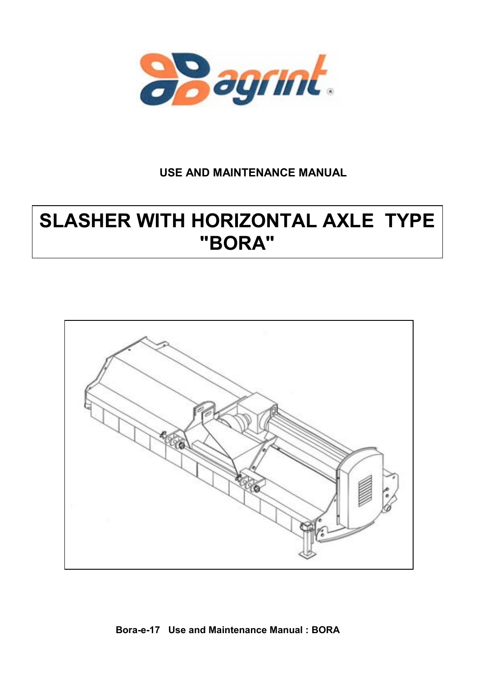

# **USE AND MAINTENANCE MANUAL**

# **SLASHER WITH HORIZONTAL AXLE TYPE "BORA"**



# **Bora-e-17 Use and Maintenance Manual : BORA**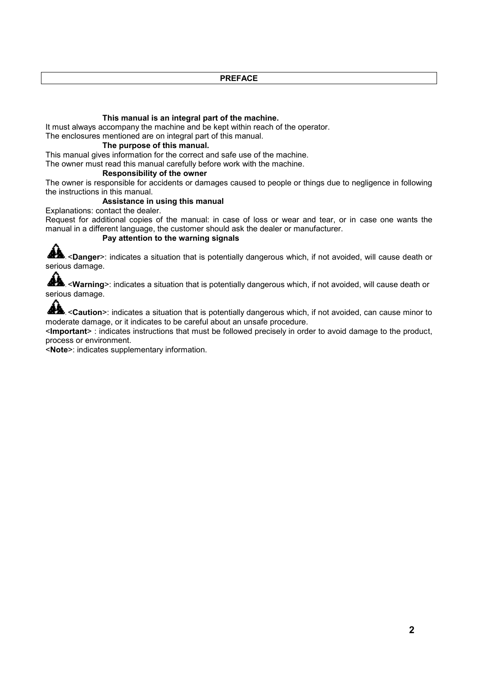**PREFACE**

## **This manual is an integral part of the machine.**

It must always accompany the machine and be kept within reach of the operator.

The enclosures mentioned are on integral part of this manual.

# **The purpose of this manual.**

This manual gives information for the correct and safe use of the machine.

The owner must read this manual carefully before work with the machine.

# **Responsibility of the owner**

The owner is responsible for accidents or damages caused to people or things due to negligence in following the instructions in this manual.

# **Assistance in using this manual**

Explanations: contact the dealer.

Request for additional copies of the manual: in case of loss or wear and tear, or in case one wants the manual in a different language, the customer should ask the dealer or manufacturer.

# **Pay attention to the warning signals**

**AL** <**Danger**>: indicates a situation that is potentially dangerous which, if not avoided, will cause death or serious damage.

**AL** <**Warning**>: indicates a situation that is potentially dangerous which, if not avoided, will cause death or serious damage.

<**Caution**>: indicates a situation that is potentially dangerous which, if not avoided, can cause minor to moderate damage, or it indicates to be careful about an unsafe procedure.

<**Important**> : indicates instructions that must be followed precisely in order to avoid damage to the product, process or environment.

<**Note**>: indicates supplementary information.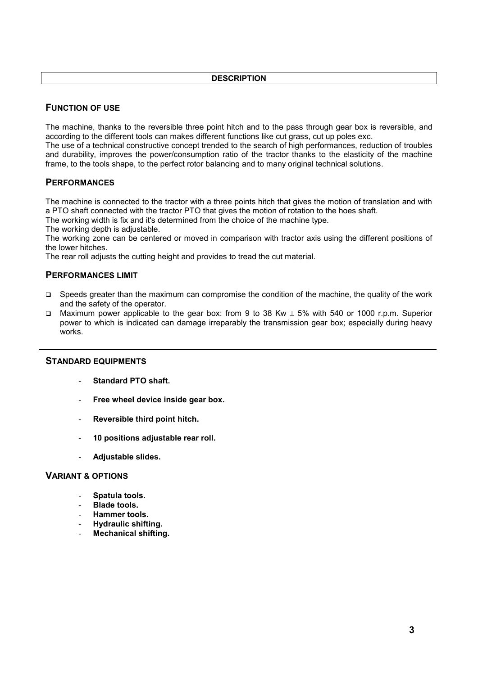## **DESCRIPTION**

# **FUNCTION OF USE**

The machine, thanks to the reversible three point hitch and to the pass through gear box is reversible, and according to the different tools can makes different functions like cut grass, cut up poles exc.

The use of a technical constructive concept trended to the search of high performances, reduction of troubles and durability, improves the power/consumption ratio of the tractor thanks to the elasticity of the machine frame, to the tools shape, to the perfect rotor balancing and to many original technical solutions.

## **PERFORMANCES**

The machine is connected to the tractor with a three points hitch that gives the motion of translation and with a PTO shaft connected with the tractor PTO that gives the motion of rotation to the hoes shaft.

The working width is fix and it's determined from the choice of the machine type.

The working depth is adjustable.

The working zone can be centered or moved in comparison with tractor axis using the different positions of the lower hitches.

The rear roll adjusts the cutting height and provides to tread the cut material.

# **PERFORMANCES LIMIT**

- $\Box$  Speeds greater than the maximum can compromise the condition of the machine, the quality of the work and the safety of the operator.
- Maximum power applicable to the gear box: from 9 to 38 Kw  $\pm$  5% with 540 or 1000 r.p.m. Superior power to which is indicated can damage irreparably the transmission gear box; especially during heavy works.

## **STANDARD EQUIPMENTS**

- **Standard PTO shaft.**
- **Free wheel device inside gear box.**
- **Reversible third point hitch.**
- **10 positions adjustable rear roll.**
- **Adjustable slides.**

#### **VARIANT & OPTIONS**

- **Spatula tools.**
- **Blade tools.**
- **Hammer tools.**
- **Hydraulic shifting.**
- **Mechanical shifting.**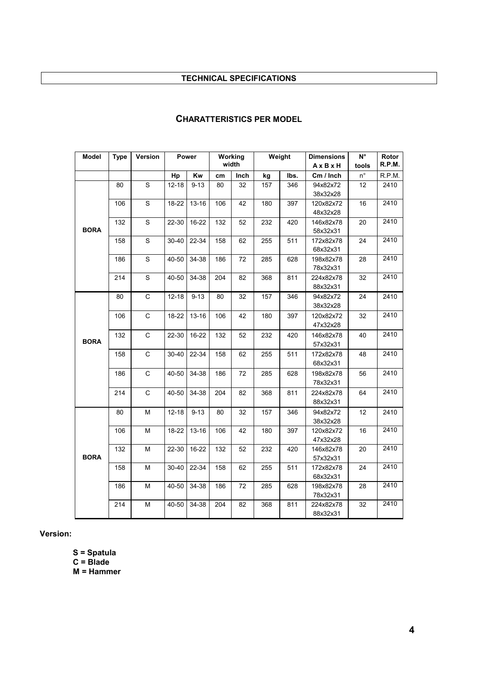# **TECHNICAL SPECIFICATIONS**

| <b>Model</b> | <b>Type</b> | Version      | Power     |           | Working<br>width |      | Weight |      | <b>Dimensions</b> | N°                 | Rotor<br>R.P.M.  |
|--------------|-------------|--------------|-----------|-----------|------------------|------|--------|------|-------------------|--------------------|------------------|
|              |             |              |           |           |                  |      |        |      | AxBxH             | tools              |                  |
|              |             |              | Hp        | Kw        | cm               | Inch | kg     | lbs. | Cm / Inch         | $\mathsf{n}^\circ$ | R.P.M.           |
|              | 80          | $\mathsf S$  | $12 - 18$ | $9 - 13$  | 80               | 32   | 157    | 346  | 94x82x72          | 12                 | 2410             |
|              |             |              |           |           |                  |      |        |      | 38x32x28          |                    |                  |
|              | 106         | $\mathbf S$  | 18-22     | $13 - 16$ | 106              | 42   | 180    | 397  | 120x82x72         | 16                 | 2410             |
|              |             |              |           |           |                  |      |        |      | 48x32x28          |                    |                  |
|              | 132         | $\mathsf S$  | 22-30     | 16-22     | 132              | 52   | 232    | 420  | 146x82x78         | 20                 | 2410             |
| <b>BORA</b>  |             |              |           |           |                  |      |        |      | 58x32x31          |                    |                  |
|              | 158         | $\mathbf S$  | $30 - 40$ | 22-34     | 158              | 62   | 255    | 511  | 172x82x78         | 24                 | 2410             |
|              |             |              |           |           |                  |      |        |      | 68x32x31          |                    |                  |
|              | 186         | $\mathbf S$  | 40-50     | 34-38     | 186              | 72   | 285    | 628  | 198x82x78         | 28                 | 2410             |
|              |             |              |           |           |                  |      |        |      | 78x32x31          |                    |                  |
|              | 214         | $\mathsf S$  | 40-50     | 34-38     | 204              | 82   | 368    | 811  | 224x82x78         | 32                 | 2410             |
|              |             |              |           |           |                  |      |        |      | 88x32x31          |                    |                  |
|              | 80          | $\mathsf C$  | $12 - 18$ | $9 - 13$  | 80               | 32   | 157    | 346  | 94x82x72          | 24                 | 2410             |
|              |             |              |           |           |                  |      |        |      | 38x32x28          |                    |                  |
| <b>BORA</b>  | 106         | $\mathsf C$  | 18-22     | $13 - 16$ | 106              | 42   | 180    | 397  | 120x82x72         | 32                 | 2410             |
|              |             |              |           |           |                  |      |        |      | 47x32x28          |                    |                  |
|              | 132         | $\mathsf C$  | 22-30     | 16-22     | 132              | 52   | 232    | 420  | 146x82x78         | 40                 | 2410             |
|              |             |              |           |           |                  |      |        |      | 57x32x31          |                    |                  |
|              | 158         | C            | $30 - 40$ | 22-34     | 158              | 62   | 255    | 511  | 172x82x78         | 48                 | 2410             |
|              |             |              |           |           |                  |      |        |      | 68x32x31          |                    |                  |
|              | 186         | $\mathsf{C}$ | 40-50     | 34-38     | 186              | 72   | 285    | 628  | 198x82x78         | 56                 | 2410             |
|              |             |              |           |           |                  |      |        |      | 78x32x31          |                    |                  |
|              | 214         | $\mathsf C$  | 40-50     | 34-38     | 204              | 82   | 368    | 811  | 224x82x78         | 64                 | 2410             |
|              |             |              |           |           |                  |      |        |      | 88x32x31          |                    |                  |
|              | 80          | м            | $12 - 18$ | $9 - 13$  | 80               | 32   | 157    | 346  | 94x82x72          | 12                 | 2410             |
| <b>BORA</b>  |             |              |           |           |                  |      |        |      | 38x32x28          |                    |                  |
|              | 106         | М            | 18-22     | $13 - 16$ | 106              | 42   | 180    | 397  | 120x82x72         | 16                 | $\frac{1}{2410}$ |
|              |             |              |           |           |                  |      |        |      | 47x32x28          |                    |                  |
|              | 132         | М            | 22-30     | 16-22     | 132              | 52   | 232    | 420  | 146x82x78         | 20                 | 2410             |
|              |             |              |           |           |                  |      |        |      | 57x32x31          |                    |                  |
|              | 158         | М            | $30 - 40$ | 22-34     | 158              | 62   | 255    | 511  | 172x82x78         | 24                 | 2410             |
|              |             |              |           |           |                  |      |        |      | 68x32x31          |                    |                  |
|              | 186         | М            | 40-50     | 34-38     | 186              | 72   | 285    | 628  | 198x82x78         | 28                 | 2410             |
|              |             |              |           |           |                  |      |        |      | 78x32x31          |                    |                  |
|              | 214         | М            | $40 - 50$ | 34-38     | 204              | 82   | 368    | 811  | 224x82x78         | 32                 | 2410             |
|              |             |              |           |           |                  |      |        |      | 88x32x31          |                    |                  |

# **CHARATTERISTICS PER MODEL**

**Version:** 

**S = Spatula** 

**C = Blade** 

**M = Hammer**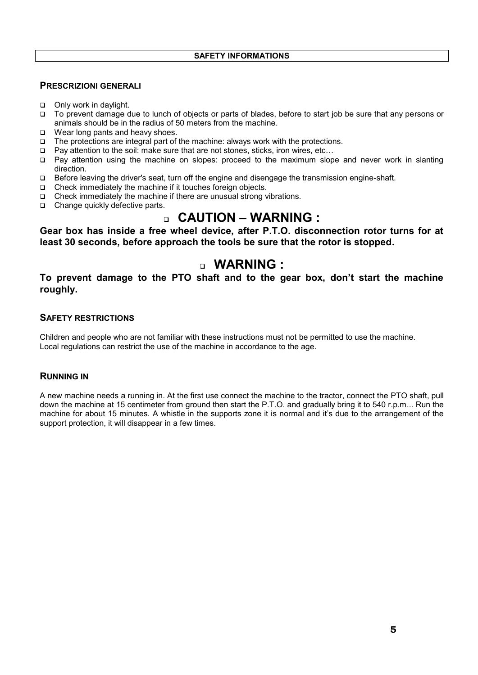# **PRESCRIZIONI GENERALI**

- □ Only work in daylight.
- To prevent damage due to lunch of objects or parts of blades, before to start job be sure that any persons or animals should be in the radius of 50 meters from the machine.
- $\Box$  Wear long pants and heavy shoes.
- $\Box$  The protections are integral part of the machine: always work with the protections.
- Pay attention to the soil: make sure that are not stones, sticks, iron wires, etc…
- Pay attention using the machine on slopes: proceed to the maximum slope and never work in slanting direction.
- Before leaving the driver's seat, turn off the engine and disengage the transmission engine-shaft.
- $\Box$  Check immediately the machine if it touches foreign objects.
- Check immediately the machine if there are unusual strong vibrations.
- □ Change quickly defective parts.

# **CAUTION – WARNING :**

**Gear box has inside a free wheel device, after P.T.O. disconnection rotor turns for at least 30 seconds, before approach the tools be sure that the rotor is stopped.**

# **WARNING :**

**To prevent damage to the PTO shaft and to the gear box, don't start the machine roughly.**

# **SAFETY RESTRICTIONS**

Children and people who are not familiar with these instructions must not be permitted to use the machine. Local regulations can restrict the use of the machine in accordance to the age.

## **RUNNING IN**

A new machine needs a running in. At the first use connect the machine to the tractor, connect the PTO shaft, pull down the machine at 15 centimeter from ground then start the P.T.O. and gradually bring it to 540 r.p.m... Run the machine for about 15 minutes. A whistle in the supports zone it is normal and it's due to the arrangement of the support protection, it will disappear in a few times.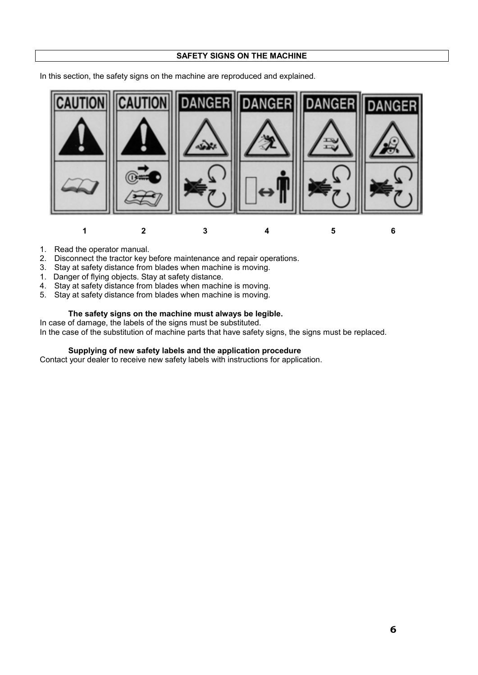#### **SAFETY SIGNS ON THE MACHINE**

In this section, the safety signs on the machine are reproduced and explained.



- 1. Read the operator manual.
- 2. Disconnect the tractor key before maintenance and repair operations.
- 3. Stay at safety distance from blades when machine is moving.
- 1. Danger of flying objects. Stay at safety distance.
- 4. Stay at safety distance from blades when machine is moving.
- 5. Stay at safety distance from blades when machine is moving.

# **The safety signs on the machine must always be legible.**

In case of damage, the labels of the signs must be substituted.

In the case of the substitution of machine parts that have safety signs, the signs must be replaced.

#### **Supplying of new safety labels and the application procedure**

Contact your dealer to receive new safety labels with instructions for application.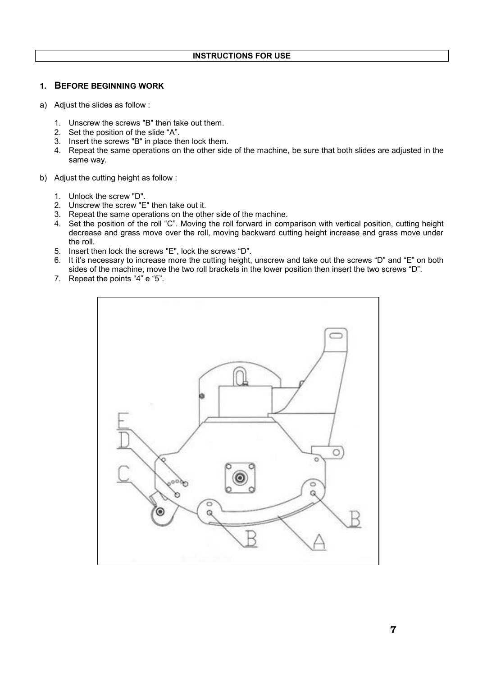## **1. BEFORE BEGINNING WORK**

- a) Adjust the slides as follow :
	- 1. Unscrew the screws "B" then take out them.
	- 2. Set the position of the slide "A".
	- 3. Insert the screws "B" in place then lock them.
	- 4. Repeat the same operations on the other side of the machine, be sure that both slides are adjusted in the same way.
- b) Adjust the cutting height as follow :
	- 1. Unlock the screw "D".
	- 2. Unscrew the screw "E" then take out it.
	- 3. Repeat the same operations on the other side of the machine.
	- 4. Set the position of the roll "C". Moving the roll forward in comparison with vertical position, cutting height decrease and grass move over the roll, moving backward cutting height increase and grass move under the roll.
	- 5. Insert then lock the screws "E", lock the screws "D".
	- 6. It it's necessary to increase more the cutting height, unscrew and take out the screws "D" and "E" on both sides of the machine, move the two roll brackets in the lower position then insert the two screws "D".
	- 7. Repeat the points "4" e "5".

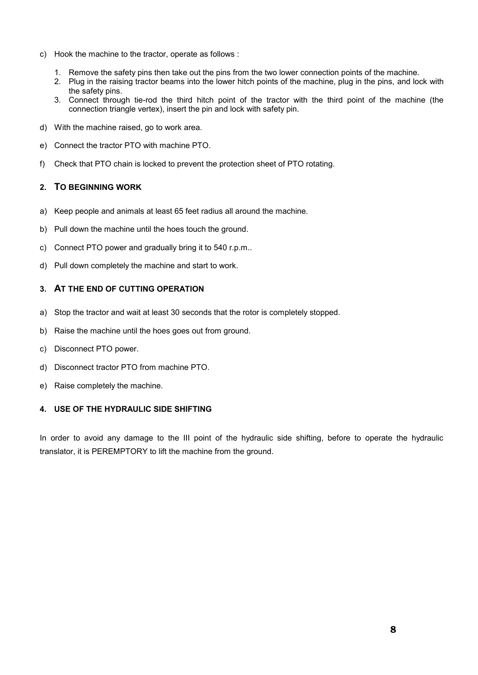- c) Hook the machine to the tractor, operate as follows :
	- 1. Remove the safety pins then take out the pins from the two lower connection points of the machine.
	- 2. Plug in the raising tractor beams into the lower hitch points of the machine, plug in the pins, and lock with the safety pins.
	- 3. Connect through tie-rod the third hitch point of the tractor with the third point of the machine (the connection triangle vertex), insert the pin and lock with safety pin.
- d) With the machine raised, go to work area.
- e) Connect the tractor PTO with machine PTO.
- f) Check that PTO chain is locked to prevent the protection sheet of PTO rotating.

## **2. TO BEGINNING WORK**

- a) Keep people and animals at least 65 feet radius all around the machine.
- b) Pull down the machine until the hoes touch the ground.
- c) Connect PTO power and gradually bring it to 540 r.p.m..
- d) Pull down completely the machine and start to work.

# **3. AT THE END OF CUTTING OPERATION**

- a) Stop the tractor and wait at least 30 seconds that the rotor is completely stopped.
- b) Raise the machine until the hoes goes out from ground.
- c) Disconnect PTO power.
- d) Disconnect tractor PTO from machine PTO.
- e) Raise completely the machine.

## **4. USE OF THE HYDRAULIC SIDE SHIFTING**

In order to avoid any damage to the III point of the hydraulic side shifting, before to operate the hydraulic translator, it is PEREMPTORY to lift the machine from the ground.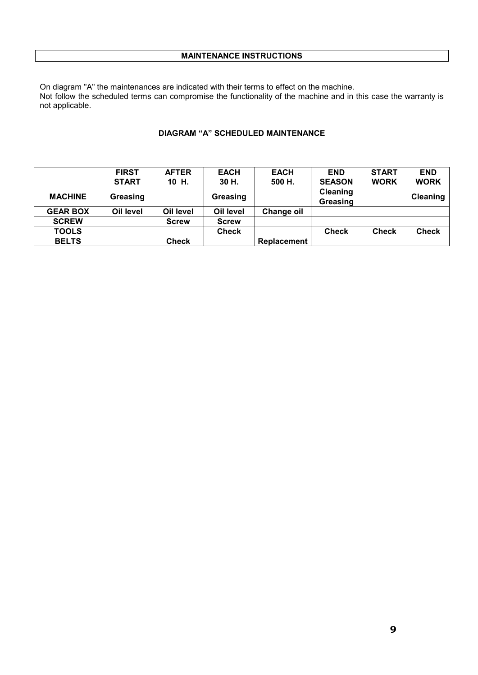On diagram "A" the maintenances are indicated with their terms to effect on the machine. Not follow the scheduled terms can compromise the functionality of the machine and in this case the warranty is not applicable.

#### **DIAGRAM "A" SCHEDULED MAINTENANCE**

|                 | <b>FIRST</b> | <b>AFTER</b> | <b>EACH</b>  | <b>EACH</b>        | <b>END</b>    | <b>START</b> | <b>END</b>      |
|-----------------|--------------|--------------|--------------|--------------------|---------------|--------------|-----------------|
|                 | <b>START</b> | 10 H.        | 30 H.        | 500 H.             | <b>SEASON</b> | <b>WORK</b>  | <b>WORK</b>     |
| <b>MACHINE</b>  | Greasing     |              |              |                    | Cleaning      |              | <b>Cleaning</b> |
|                 |              |              | Greasing     |                    | Greasing      |              |                 |
| <b>GEAR BOX</b> | Oil level    | Oil level    | Oil level    | Change oil         |               |              |                 |
| <b>SCREW</b>    |              | <b>Screw</b> | <b>Screw</b> |                    |               |              |                 |
| <b>TOOLS</b>    |              |              | <b>Check</b> |                    | <b>Check</b>  | <b>Check</b> | <b>Check</b>    |
| <b>BELTS</b>    |              | <b>Check</b> |              | <b>Replacement</b> |               |              |                 |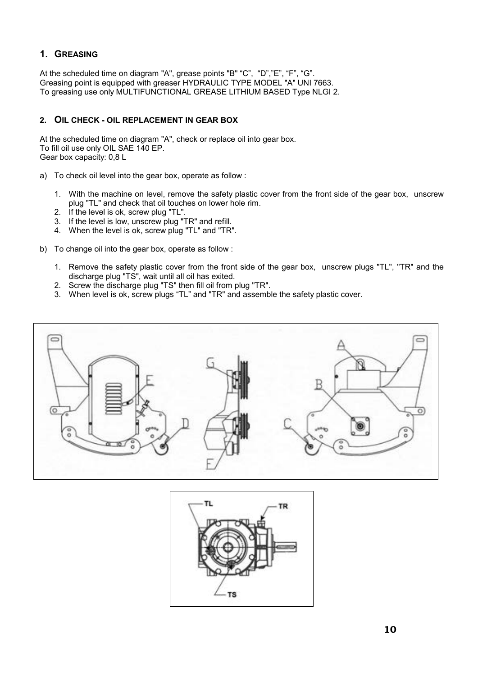# **1. GREASING**

At the scheduled time on diagram "A", grease points "B" "C", "D","E", "F", "G". Greasing point is equipped with greaser HYDRAULIC TYPE MODEL "A" UNI 7663. To greasing use only MULTIFUNCTIONAL GREASE LITHIUM BASED Type NLGI 2.

# **2. OIL CHECK - OIL REPLACEMENT IN GEAR BOX**

At the scheduled time on diagram "A", check or replace oil into gear box. To fill oil use only OIL SAE 140 EP. Gear box capacity: 0,8 L

- a) To check oil level into the gear box, operate as follow :
	- 1. With the machine on level, remove the safety plastic cover from the front side of the gear box, unscrew plug "TL" and check that oil touches on lower hole rim.
	- 2. If the level is ok, screw plug "TL".
	- 3. If the level is low, unscrew plug "TR" and refill.
	- 4. When the level is ok, screw plug "TL" and "TR".
- b) To change oil into the gear box, operate as follow :
	- 1. Remove the safety plastic cover from the front side of the gear box, unscrew plugs "TL", "TR" and the discharge plug "TS", wait until all oil has exited.
	- 2. Screw the discharge plug "TS" then fill oil from plug "TR".
	- 3. When level is ok, screw plugs "TL" and "TR" and assemble the safety plastic cover.



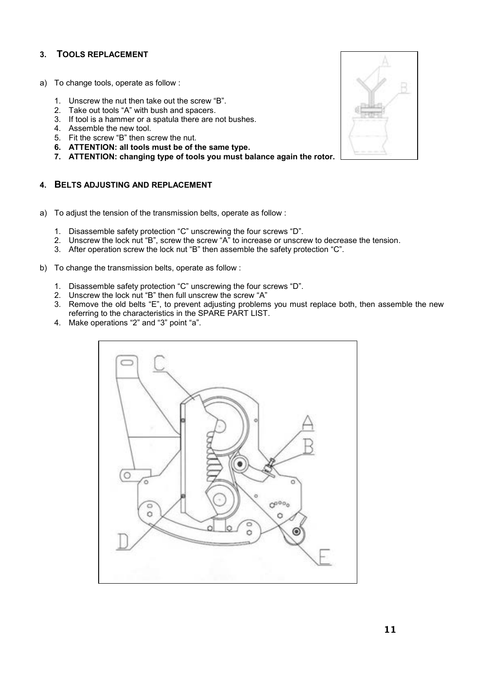# **3. TOOLS REPLACEMENT**

- a) To change tools, operate as follow :
	- 1. Unscrew the nut then take out the screw "B".
	- 2. Take out tools "A" with bush and spacers.
	- 3. If tool is a hammer or a spatula there are not bushes.
	- 4. Assemble the new tool.
	- 5. Fit the screw "B" then screw the nut.
	- **6. ATTENTION: all tools must be of the same type.**
	- **7. ATTENTION: changing type of tools you must balance again the rotor.**

## **4. BELTS ADJUSTING AND REPLACEMENT**

- a) To adjust the tension of the transmission belts, operate as follow :
	- 1. Disassemble safety protection "C" unscrewing the four screws "D".
	- 2. Unscrew the lock nut "B", screw the screw "A" to increase or unscrew to decrease the tension.
	- 3. After operation screw the lock nut "B" then assemble the safety protection "C".
- b) To change the transmission belts, operate as follow :
	- 1. Disassemble safety protection "C" unscrewing the four screws "D".
	- 2. Unscrew the lock nut "B" then full unscrew the screw "A"
	- 3. Remove the old belts "E", to prevent adjusting problems you must replace both, then assemble the new referring to the characteristics in the SPARE PART LIST.
	- 4. Make operations "2" and "3" point "a".



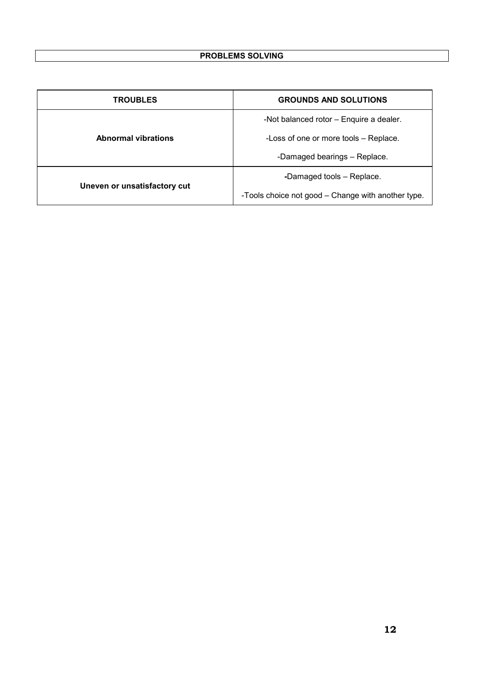| <b>TROUBLES</b>              | <b>GROUNDS AND SOLUTIONS</b>                       |  |  |
|------------------------------|----------------------------------------------------|--|--|
|                              | -Not balanced rotor - Enquire a dealer.            |  |  |
| <b>Abnormal vibrations</b>   | -Loss of one or more tools - Replace.              |  |  |
|                              | -Damaged bearings - Replace.                       |  |  |
|                              | -Damaged tools - Replace.                          |  |  |
| Uneven or unsatisfactory cut | -Tools choice not good – Change with another type. |  |  |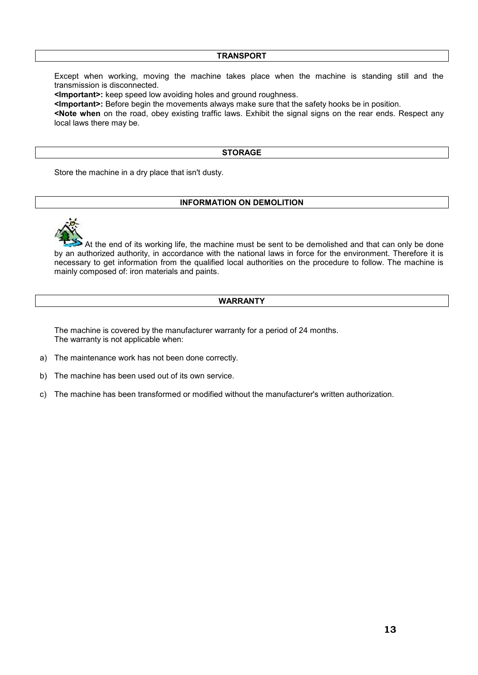#### **TRANSPORT**

Except when working, moving the machine takes place when the machine is standing still and the transmission is disconnected.

**<Important>:** keep speed low avoiding holes and ground roughness.

**<Important>:** Before begin the movements always make sure that the safety hooks be in position.

**<Note when** on the road, obey existing traffic laws. Exhibit the signal signs on the rear ends. Respect any local laws there may be.

#### **STORAGE**

Store the machine in a dry place that isn't dusty.

#### **INFORMATION ON DEMOLITION**



 At the end of its working life, the machine must be sent to be demolished and that can only be done by an authorized authority, in accordance with the national laws in force for the environment. Therefore it is necessary to get information from the qualified local authorities on the procedure to follow. The machine is mainly composed of: iron materials and paints.

## **WARRANTY**

The machine is covered by the manufacturer warranty for a period of 24 months. The warranty is not applicable when:

- a) The maintenance work has not been done correctly.
- b) The machine has been used out of its own service.
- c) The machine has been transformed or modified without the manufacturer's written authorization.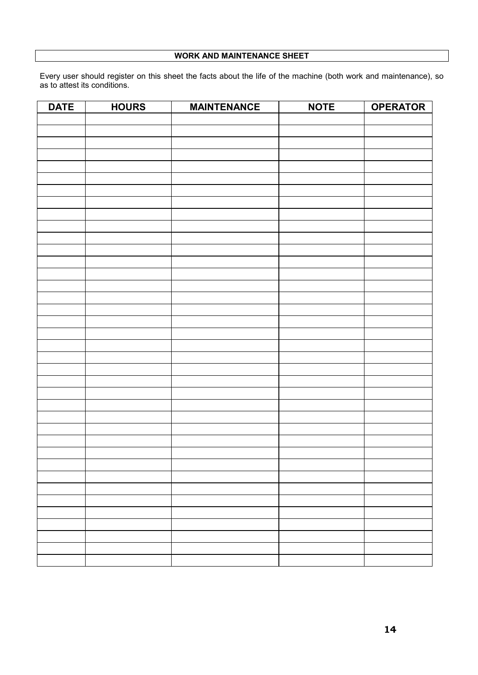# **WORK AND MAINTENANCE SHEET**

Every user should register on this sheet the facts about the life of the machine (both work and maintenance), so as to attest its conditions.

| <b>DATE</b> | <b>HOURS</b> | <b>MAINTENANCE</b> | <b>NOTE</b> | <b>OPERATOR</b> |
|-------------|--------------|--------------------|-------------|-----------------|
|             |              |                    |             |                 |
|             |              |                    |             |                 |
|             |              |                    |             |                 |
|             |              |                    |             |                 |
|             |              |                    |             |                 |
|             |              |                    |             |                 |
|             |              |                    |             |                 |
|             |              |                    |             |                 |
|             |              |                    |             |                 |
|             |              |                    |             |                 |
|             |              |                    |             |                 |
|             |              |                    |             |                 |
|             |              |                    |             |                 |
|             |              |                    |             |                 |
|             |              |                    |             |                 |
|             |              |                    |             |                 |
|             |              |                    |             |                 |
|             |              |                    |             |                 |
|             |              |                    |             |                 |
|             |              |                    |             |                 |
|             |              |                    |             |                 |
|             |              |                    |             |                 |
|             |              |                    |             |                 |
|             |              |                    |             |                 |
|             |              |                    |             |                 |
|             |              |                    |             |                 |
|             |              |                    |             |                 |
|             |              |                    |             |                 |
|             |              |                    |             |                 |
|             |              |                    |             |                 |
|             |              |                    |             |                 |
|             |              |                    |             |                 |
|             |              |                    |             |                 |
|             |              |                    |             |                 |
|             |              |                    |             |                 |
|             |              |                    |             |                 |
|             |              |                    |             |                 |
|             |              |                    |             |                 |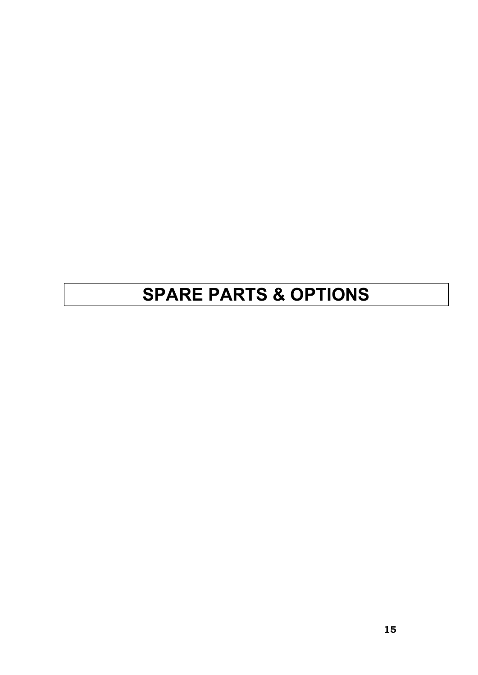# **SPARE PARTS & OPTIONS**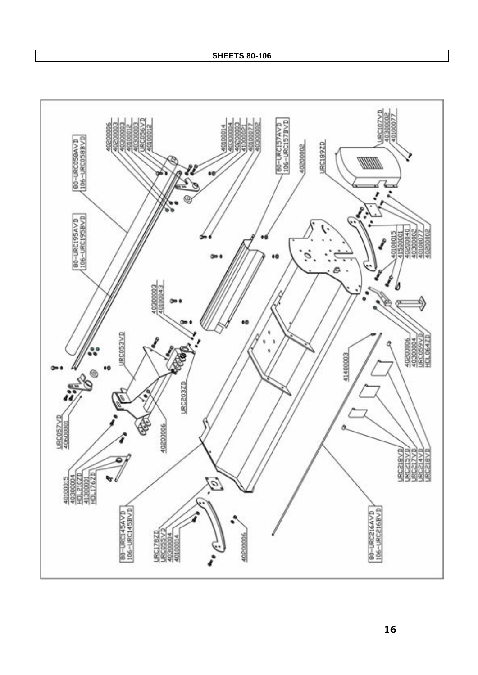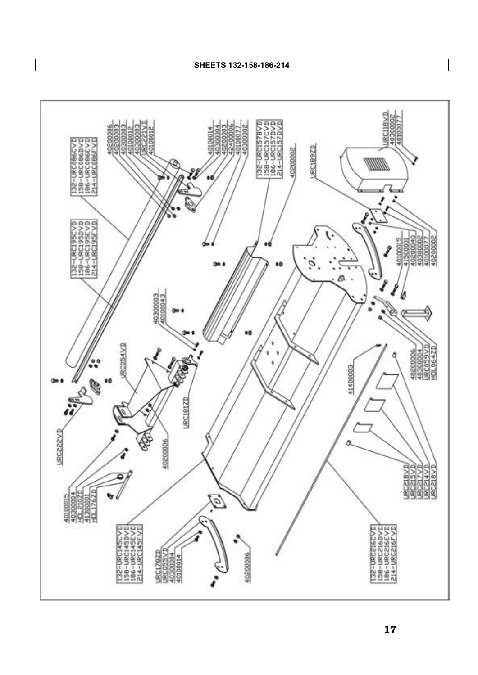**SHEETS 132-158-186-214**

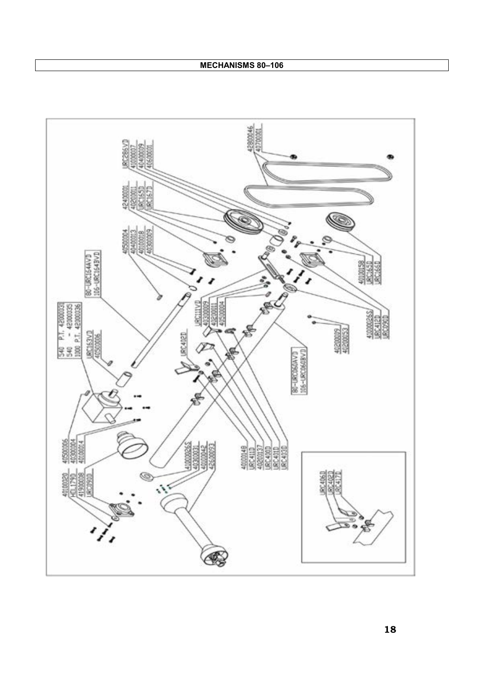**MECHANISMS 80–106**

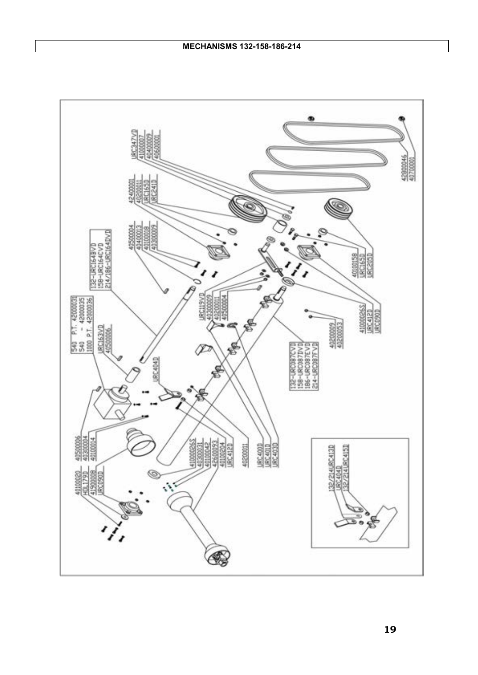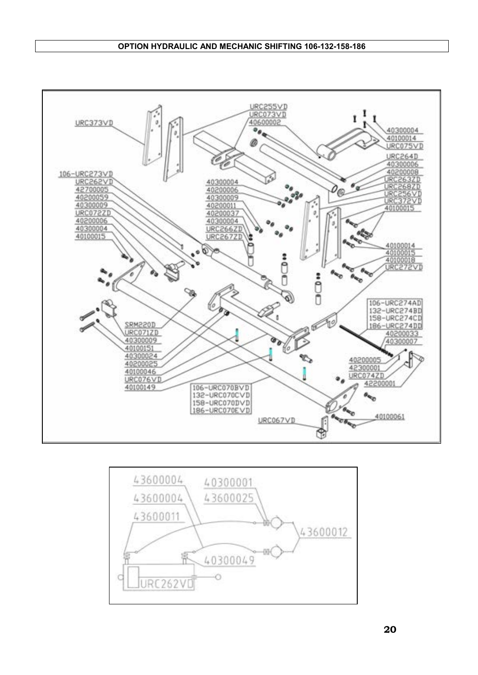#### **OPTION HYDRAULIC AND MECHANIC SHIFTING 106-132-158-186**



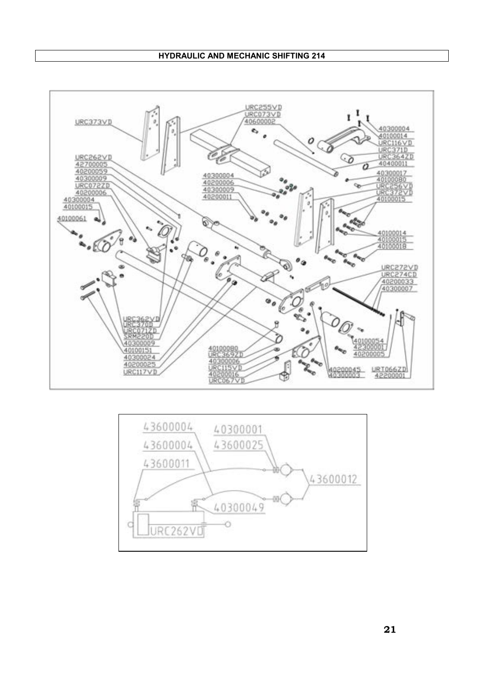